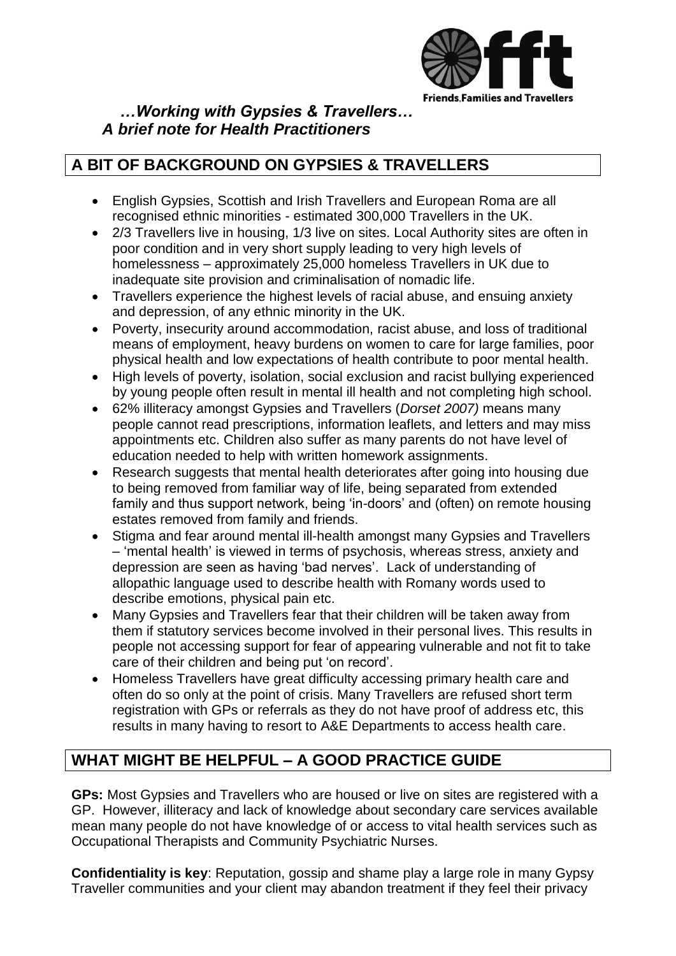

 *…Working with Gypsies & Travellers… A brief note for Health Practitioners*

## **A BIT OF BACKGROUND ON GYPSIES & TRAVELLERS**

- English Gypsies, Scottish and Irish Travellers and European Roma are all recognised ethnic minorities - estimated 300,000 Travellers in the UK.
- 2/3 Travellers live in housing, 1/3 live on sites. Local Authority sites are often in poor condition and in very short supply leading to very high levels of homelessness – approximately 25,000 homeless Travellers in UK due to inadequate site provision and criminalisation of nomadic life.
- Travellers experience the highest levels of racial abuse, and ensuing anxiety and depression, of any ethnic minority in the UK.
- Poverty, insecurity around accommodation, racist abuse, and loss of traditional means of employment, heavy burdens on women to care for large families, poor physical health and low expectations of health contribute to poor mental health.
- High levels of poverty, isolation, social exclusion and racist bullying experienced by young people often result in mental ill health and not completing high school.
- 62% illiteracy amongst Gypsies and Travellers (*Dorset 2007)* means many people cannot read prescriptions, information leaflets, and letters and may miss appointments etc. Children also suffer as many parents do not have level of education needed to help with written homework assignments.
- Research suggests that mental health deteriorates after going into housing due to being removed from familiar way of life, being separated from extended family and thus support network, being 'in-doors' and (often) on remote housing estates removed from family and friends.
- Stigma and fear around mental ill-health amongst many Gypsies and Travellers – "mental health" is viewed in terms of psychosis, whereas stress, anxiety and depression are seen as having "bad nerves". Lack of understanding of allopathic language used to describe health with Romany words used to describe emotions, physical pain etc.
- Many Gypsies and Travellers fear that their children will be taken away from them if statutory services become involved in their personal lives. This results in people not accessing support for fear of appearing vulnerable and not fit to take care of their children and being put "on record".
- Homeless Travellers have great difficulty accessing primary health care and often do so only at the point of crisis. Many Travellers are refused short term registration with GPs or referrals as they do not have proof of address etc, this results in many having to resort to A&E Departments to access health care.

## **WHAT MIGHT BE HELPFUL – A GOOD PRACTICE GUIDE**

**GPs:** Most Gypsies and Travellers who are housed or live on sites are registered with a GP. However, illiteracy and lack of knowledge about secondary care services available mean many people do not have knowledge of or access to vital health services such as Occupational Therapists and Community Psychiatric Nurses.

**Confidentiality is key**: Reputation, gossip and shame play a large role in many Gypsy Traveller communities and your client may abandon treatment if they feel their privacy